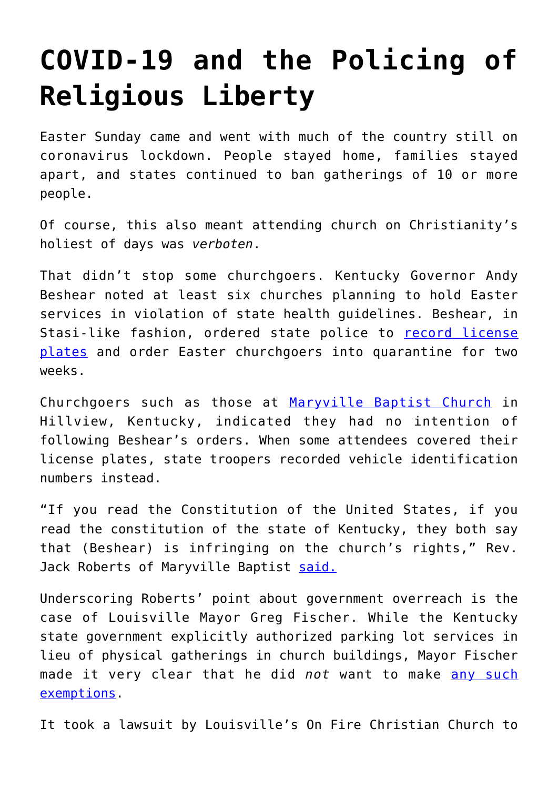## **[COVID-19 and the Policing of](https://intellectualtakeout.org/2020/04/covid-19-and-the-policing-of-religious-liberty/) [Religious Liberty](https://intellectualtakeout.org/2020/04/covid-19-and-the-policing-of-religious-liberty/)**

Easter Sunday came and went with much of the country still on coronavirus lockdown. People stayed home, families stayed apart, and states continued to ban gatherings of 10 or more people.

Of course, this also meant attending church on Christianity's holiest of days was *verboten*.

That didn't stop some churchgoers. Kentucky Governor Andy Beshear noted at least six churches planning to hold Easter services in violation of state health guidelines. Beshear, in Stasi-like fashion, ordered state police to [record license](https://www.cnn.com/2020/04/11/us/kentucky-easter-quarantine-trnd/index.html) [plates](https://www.cnn.com/2020/04/11/us/kentucky-easter-quarantine-trnd/index.html) and order Easter churchgoers into quarantine for two weeks.

Churchgoers such as those at [Maryville Baptist Church](https://www.msn.com/en-us/news/us/easter-churchgoers-defiant-after-kentucky-troopers-write-down-their-license-plate-numbers/ar-BB12wgbA) in Hillview, Kentucky, indicated they had no intention of following Beshear's orders. When some attendees covered their license plates, state troopers recorded vehicle identification numbers instead.

"If you read the Constitution of the United States, if you read the constitution of the state of Kentucky, they both say that (Beshear) is infringing on the church's rights," Rev. Jack Roberts of Maryville Baptist [said.](https://www.msn.com/en-us/news/us/easter-churchgoers-defiant-after-kentucky-troopers-write-down-their-license-plate-numbers/ar-BB12wgbA)

Underscoring Roberts' point about government overreach is the case of Louisville Mayor Greg Fischer. While the Kentucky state government explicitly authorized parking lot services in lieu of physical gatherings in church buildings, Mayor Fischer made it very clear that he did *not* want to make [any such](https://nypost.com/2020/04/11/judge-blocks-louisville-from-banning-drive-in-easter-services/) [exemptions.](https://nypost.com/2020/04/11/judge-blocks-louisville-from-banning-drive-in-easter-services/)

It took a lawsuit by Louisville's On Fire Christian Church to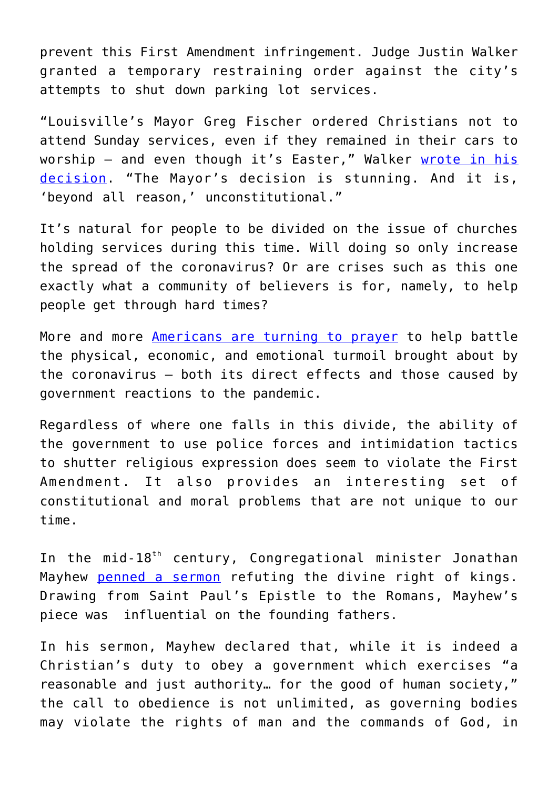prevent this First Amendment infringement. Judge Justin Walker granted a temporary restraining order against the city's attempts to shut down parking lot services.

"Louisville's Mayor Greg Fischer ordered Christians not to attend Sunday services, even if they remained in their cars to worship - and even though it's Easter," Walker [wrote in his](https://firstliberty.org/wp-content/uploads/2020/04/OFCC-v-Fischer-Order-Granting-TRO.pdf) [decision](https://firstliberty.org/wp-content/uploads/2020/04/OFCC-v-Fischer-Order-Granting-TRO.pdf). "The Mayor's decision is stunning. And it is, 'beyond all reason,' unconstitutional."

It's natural for people to be divided on the issue of churches holding services during this time. Will doing so only increase the spread of the coronavirus? Or are crises such as this one exactly what a community of believers is for, namely, to help people get through hard times?

More and more [Americans are turning to prayer](https://www.intellectualtakeout.org/c.s.-lewis-on-avoiding-the-prayers-the-devil-likes/) to help battle the physical, economic, and emotional turmoil brought about by the coronavirus – both its direct effects and those caused by government reactions to the pandemic.

Regardless of where one falls in this divide, the ability of the government to use police forces and intimidation tactics to shutter religious expression does seem to violate the First Amendment. It also provides an interesting set of constitutional and moral problems that are not unique to our time.

In the mid-18<sup>th</sup> century, Congregational minister Jonathan Mayhew [penned a sermon](https://digitalcommons.unl.edu/cgi/viewcontent.cgi?article=1044&context=etas) refuting the divine right of kings. Drawing from Saint Paul's Epistle to the Romans, Mayhew's piece was influential on the founding fathers.

In his sermon, Mayhew declared that, while it is indeed a Christian's duty to obey a government which exercises "a reasonable and just authority… for the good of human society," the call to obedience is not unlimited, as governing bodies may violate the rights of man and the commands of God, in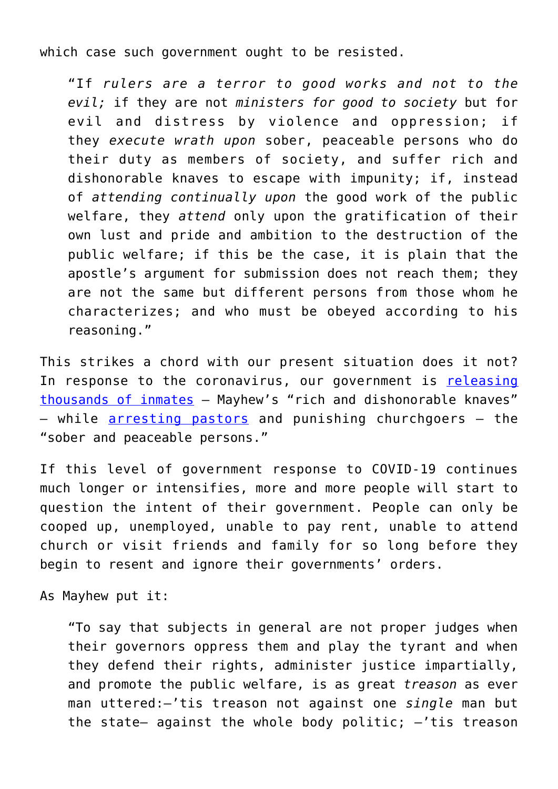which case such government ought to be resisted.

"If *rulers are a terror to good works and not to the evil;* if they are not *ministers for good to society* but for evil and distress by violence and oppression; if they *execute wrath upon* sober, peaceable persons who do their duty as members of society, and suffer rich and dishonorable knaves to escape with impunity; if, instead of *attending continually upon* the good work of the public welfare, they *attend* only upon the gratification of their own lust and pride and ambition to the destruction of the public welfare; if this be the case, it is plain that the apostle's argument for submission does not reach them; they are not the same but different persons from those whom he characterizes; and who must be obeyed according to his reasoning."

This strikes a chord with our present situation does it not? In response to the coronavirus, our government is [releasing](https://www.washingtonpost.com/national/disaster-waiting-to-happen-thousands-of-inmates-released-as-jails-face-coronavirus-threat/2020/03/24/761c2d84-6b8c-11ea-b313-df458622c2cc_story.html) [thousands of inmates](https://www.washingtonpost.com/national/disaster-waiting-to-happen-thousands-of-inmates-released-as-jails-face-coronavirus-threat/2020/03/24/761c2d84-6b8c-11ea-b313-df458622c2cc_story.html) – Mayhew's "rich and dishonorable knaves" – while [arresting pastors](https://www.nytimes.com/2020/03/30/us/coronavirus-pastor-arrested-tampa-florida.html) and punishing churchgoers – the "sober and peaceable persons."

If this level of government response to COVID-19 continues much longer or intensifies, more and more people will start to question the intent of their government. People can only be cooped up, unemployed, unable to pay rent, unable to attend church or visit friends and family for so long before they begin to resent and ignore their governments' orders.

As Mayhew put it:

"To say that subjects in general are not proper judges when their governors oppress them and play the tyrant and when they defend their rights, administer justice impartially, and promote the public welfare, is as great *treason* as ever man uttered:—'tis treason not against one *single* man but the state- against the whole body politic;  $-$ 'tis treason